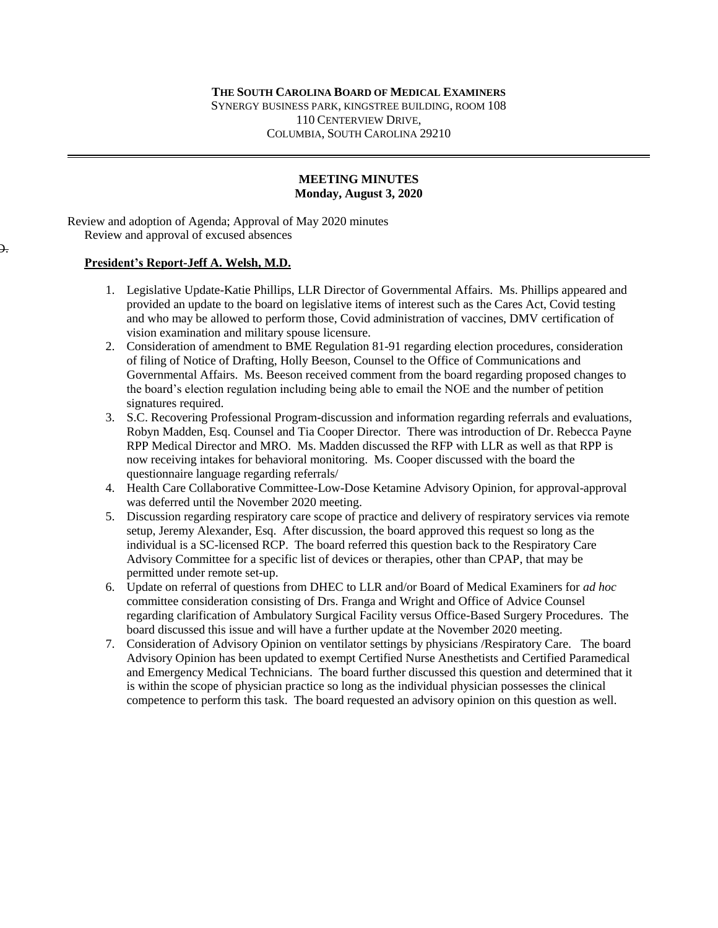#### **THE SOUTH CAROLINA BOARD OF MEDICAL EXAMINERS**

SYNERGY BUSINESS PARK, KINGSTREE BUILDING, ROOM 108 110 CENTERVIEW DRIVE, COLUMBIA, SOUTH CAROLINA 29210

# **MEETING MINUTES Monday, August 3, 2020**

 Review and adoption of Agenda; Approval of May 2020 minutes Review and approval of excused absences

#### **President's Report-Jeff A. Welsh, M.D.**

President's Report – Jeffrey A. Welsh, M.D.

- 1. Legislative Update-Katie Phillips, LLR Director of Governmental Affairs. Ms. Phillips appeared and provided an update to the board on legislative items of interest such as the Cares Act, Covid testing and who may be allowed to perform those, Covid administration of vaccines, DMV certification of vision examination and military spouse licensure.
- 2. Consideration of amendment to BME Regulation 81-91 regarding election procedures, consideration of filing of Notice of Drafting, Holly Beeson, Counsel to the Office of Communications and Governmental Affairs. Ms. Beeson received comment from the board regarding proposed changes to the board's election regulation including being able to email the NOE and the number of petition signatures required.
- 3. S.C. Recovering Professional Program-discussion and information regarding referrals and evaluations, Robyn Madden, Esq. Counsel and Tia Cooper Director. There was introduction of Dr. Rebecca Payne RPP Medical Director and MRO. Ms. Madden discussed the RFP with LLR as well as that RPP is now receiving intakes for behavioral monitoring. Ms. Cooper discussed with the board the questionnaire language regarding referrals/
- 4. Health Care Collaborative Committee-Low-Dose Ketamine Advisory Opinion, for approval-approval was deferred until the November 2020 meeting.
- 5. Discussion regarding respiratory care scope of practice and delivery of respiratory services via remote setup, Jeremy Alexander, Esq. After discussion, the board approved this request so long as the individual is a SC-licensed RCP. The board referred this question back to the Respiratory Care Advisory Committee for a specific list of devices or therapies, other than CPAP, that may be permitted under remote set-up.
- 6. Update on referral of questions from DHEC to LLR and/or Board of Medical Examiners for *ad hoc* committee consideration consisting of Drs. Franga and Wright and Office of Advice Counsel regarding clarification of Ambulatory Surgical Facility versus Office-Based Surgery Procedures. The board discussed this issue and will have a further update at the November 2020 meeting.
- 7. Consideration of Advisory Opinion on ventilator settings by physicians /Respiratory Care. The board Advisory Opinion has been updated to exempt Certified Nurse Anesthetists and Certified Paramedical and Emergency Medical Technicians. The board further discussed this question and determined that it is within the scope of physician practice so long as the individual physician possesses the clinical competence to perform this task. The board requested an advisory opinion on this question as well.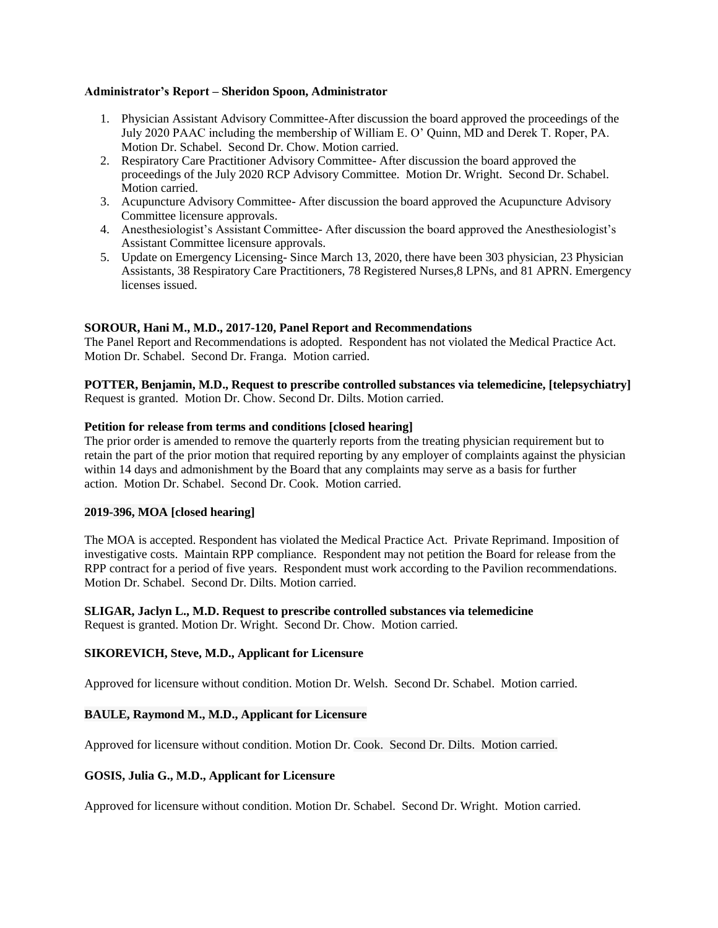#### **Administrator's Report – Sheridon Spoon, Administrator**

- 1. Physician Assistant Advisory Committee-After discussion the board approved the proceedings of the July 2020 PAAC including the membership of William E. O' Quinn, MD and Derek T. Roper, PA. Motion Dr. Schabel. Second Dr. Chow. Motion carried.
- 2. Respiratory Care Practitioner Advisory Committee- After discussion the board approved the proceedings of the July 2020 RCP Advisory Committee. Motion Dr. Wright. Second Dr. Schabel. Motion carried.
- 3. Acupuncture Advisory Committee- After discussion the board approved the Acupuncture Advisory Committee licensure approvals.
- 4. Anesthesiologist's Assistant Committee- After discussion the board approved the Anesthesiologist's Assistant Committee licensure approvals.
- 5. Update on Emergency Licensing- Since March 13, 2020, there have been 303 physician, 23 Physician Assistants, 38 Respiratory Care Practitioners, 78 Registered Nurses,8 LPNs, and 81 APRN. Emergency licenses issued.

### **SOROUR, Hani M., M.D., 2017-120, Panel Report and Recommendations**

The Panel Report and Recommendations is adopted. Respondent has not violated the Medical Practice Act. Motion Dr. Schabel. Second Dr. Franga. Motion carried.

# **POTTER, Benjamin, M.D., Request to prescribe controlled substances via telemedicine, [telepsychiatry]** Request is granted. Motion Dr. Chow. Second Dr. Dilts. Motion carried.

#### **Petition for release from terms and conditions [closed hearing]**

The prior order is amended to remove the quarterly reports from the treating physician requirement but to retain the part of the prior motion that required reporting by any employer of complaints against the physician within 14 days and admonishment by the Board that any complaints may serve as a basis for further action. Motion Dr. Schabel. Second Dr. Cook. Motion carried.

#### **2019-396, MOA [closed hearing]**

The MOA is accepted. Respondent has violated the Medical Practice Act. Private Reprimand. Imposition of investigative costs. Maintain RPP compliance. Respondent may not petition the Board for release from the RPP contract for a period of five years. Respondent must work according to the Pavilion recommendations. Motion Dr. Schabel. Second Dr. Dilts. Motion carried.

# **SLIGAR, Jaclyn L., M.D. Request to prescribe controlled substances via telemedicine**

Request is granted. Motion Dr. Wright. Second Dr. Chow. Motion carried.

### **SIKOREVICH, Steve, M.D., Applicant for Licensure**

Approved for licensure without condition. Motion Dr. Welsh. Second Dr. Schabel. Motion carried.

### **BAULE, Raymond M., M.D., Applicant for Licensure**

Approved for licensure without condition. Motion Dr. Cook. Second Dr. Dilts. Motion carried.

### **GOSIS, Julia G., M.D., Applicant for Licensure**

Approved for licensure without condition. Motion Dr. Schabel. Second Dr. Wright. Motion carried.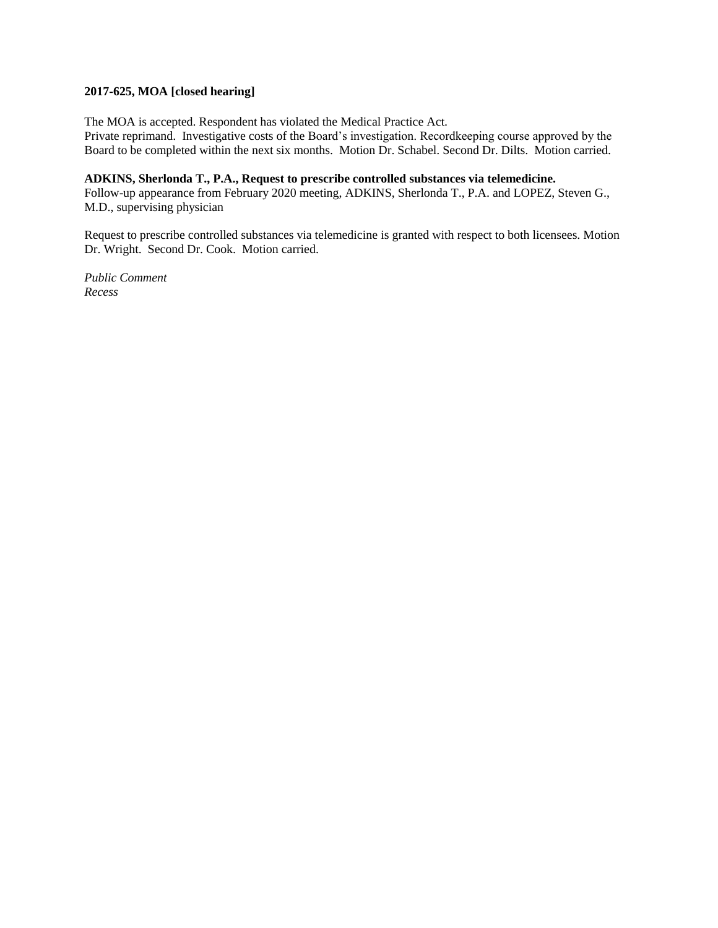# **2017-625, MOA [closed hearing]**

The MOA is accepted. Respondent has violated the Medical Practice Act.

Private reprimand. Investigative costs of the Board's investigation. Recordkeeping course approved by the Board to be completed within the next six months. Motion Dr. Schabel. Second Dr. Dilts. Motion carried.

# **ADKINS, Sherlonda T., P.A., Request to prescribe controlled substances via telemedicine.**

Follow-up appearance from February 2020 meeting, ADKINS, Sherlonda T., P.A. and LOPEZ, Steven G., M.D., supervising physician

Request to prescribe controlled substances via telemedicine is granted with respect to both licensees. Motion Dr. Wright. Second Dr. Cook. Motion carried.

*Public Comment Recess*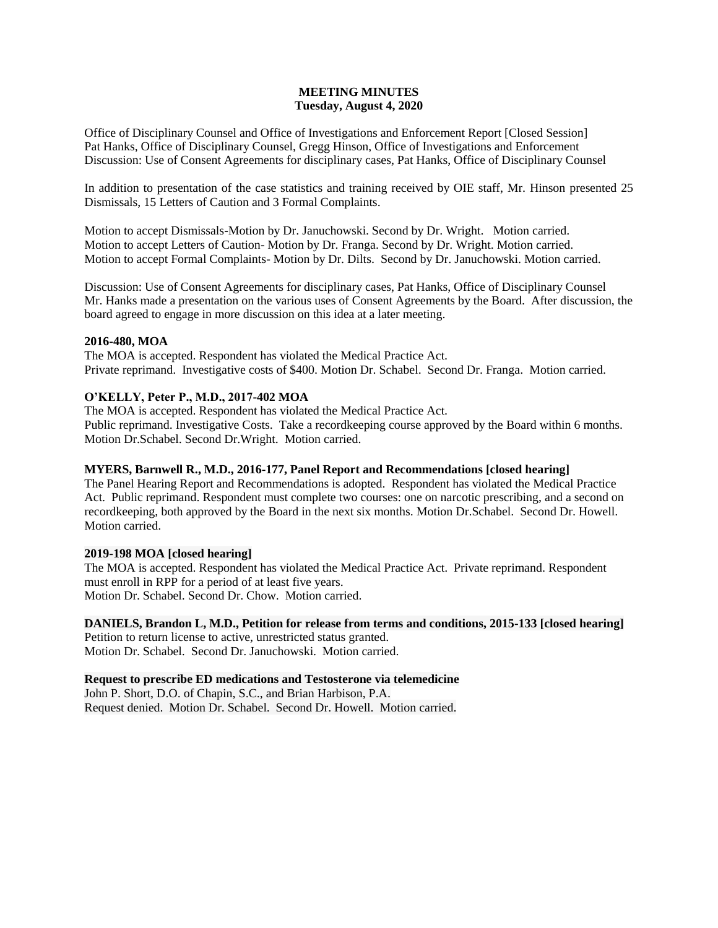# **MEETING MINUTES Tuesday, August 4, 2020**

Office of Disciplinary Counsel and Office of Investigations and Enforcement Report [Closed Session] Pat Hanks, Office of Disciplinary Counsel, Gregg Hinson, Office of Investigations and Enforcement Discussion: Use of Consent Agreements for disciplinary cases, Pat Hanks, Office of Disciplinary Counsel

In addition to presentation of the case statistics and training received by OIE staff, Mr. Hinson presented 25 Dismissals, 15 Letters of Caution and 3 Formal Complaints.

Motion to accept Dismissals-Motion by Dr. Januchowski. Second by Dr. Wright. Motion carried. Motion to accept Letters of Caution- Motion by Dr. Franga. Second by Dr. Wright. Motion carried. Motion to accept Formal Complaints- Motion by Dr. Dilts. Second by Dr. Januchowski. Motion carried.

Discussion: Use of Consent Agreements for disciplinary cases, Pat Hanks, Office of Disciplinary Counsel Mr. Hanks made a presentation on the various uses of Consent Agreements by the Board. After discussion, the board agreed to engage in more discussion on this idea at a later meeting.

# **2016-480, MOA**

The MOA is accepted. Respondent has violated the Medical Practice Act. Private reprimand. Investigative costs of \$400. Motion Dr. Schabel. Second Dr. Franga. Motion carried.

# **O'KELLY, Peter P., M.D., 2017-402 MOA**

The MOA is accepted. Respondent has violated the Medical Practice Act. Public reprimand. Investigative Costs. Take a recordkeeping course approved by the Board within 6 months. Motion Dr.Schabel. Second Dr.Wright. Motion carried.

# **MYERS, Barnwell R., M.D., 2016-177, Panel Report and Recommendations [closed hearing]**

The Panel Hearing Report and Recommendations is adopted. Respondent has violated the Medical Practice Act. Public reprimand. Respondent must complete two courses: one on narcotic prescribing, and a second on recordkeeping, both approved by the Board in the next six months. Motion Dr.Schabel. Second Dr. Howell. Motion carried.

### **2019-198 MOA [closed hearing]**

The MOA is accepted. Respondent has violated the Medical Practice Act. Private reprimand. Respondent must enroll in RPP for a period of at least five years. Motion Dr. Schabel. Second Dr. Chow. Motion carried.

# **DANIELS, Brandon L, M.D., Petition for release from terms and conditions, 2015-133 [closed hearing]**

Petition to return license to active, unrestricted status granted. Motion Dr. Schabel. Second Dr. Januchowski. Motion carried.

### **Request to prescribe ED medications and Testosterone via telemedicine**

John P. Short, D.O. of Chapin, S.C., and Brian Harbison, P.A. Request denied. Motion Dr. Schabel. Second Dr. Howell. Motion carried.